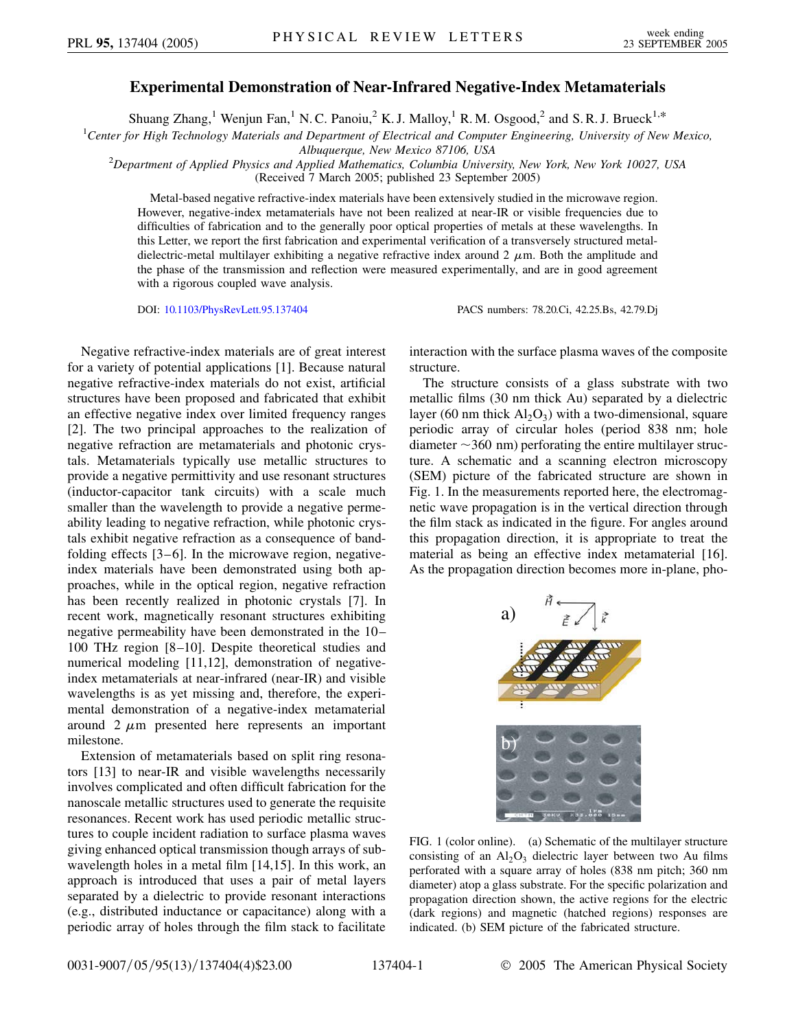## **Experimental Demonstration of Near-Infrared Negative-Index Metamaterials**

Shuang Zhang,<sup>1</sup> Wenjun Fan,<sup>1</sup> N. C. Panoiu,<sup>2</sup> K. J. Malloy,<sup>1</sup> R. M. Osgood,<sup>2</sup> and S. R. J. Brueck<sup>1,\*</sup>

1 *Center for High Technology Materials and Department of Electrical and Computer Engineering, University of New Mexico,*

*Albuquerque, New Mexico 87106, USA* <sup>2</sup> *Department of Applied Physics and Applied Mathematics, Columbia University, New York, New York 10027, USA* (Received 7 March 2005; published 23 September 2005)

Metal-based negative refractive-index materials have been extensively studied in the microwave region. However, negative-index metamaterials have not been realized at near-IR or visible frequencies due to difficulties of fabrication and to the generally poor optical properties of metals at these wavelengths. In this Letter, we report the first fabrication and experimental verification of a transversely structured metaldielectric-metal multilayer exhibiting a negative refractive index around  $2 \mu m$ . Both the amplitude and the phase of the transmission and reflection were measured experimentally, and are in good agreement with a rigorous coupled wave analysis.

DOI: [10.1103/PhysRevLett.95.137404](http://dx.doi.org/10.1103/PhysRevLett.95.137404) PACS numbers: 78.20.Ci, 42.25.Bs, 42.79.Dj

Negative refractive-index materials are of great interest for a variety of potential applications [1]. Because natural negative refractive-index materials do not exist, artificial structures have been proposed and fabricated that exhibit an effective negative index over limited frequency ranges [2]. The two principal approaches to the realization of negative refraction are metamaterials and photonic crystals. Metamaterials typically use metallic structures to provide a negative permittivity and use resonant structures (inductor-capacitor tank circuits) with a scale much smaller than the wavelength to provide a negative permeability leading to negative refraction, while photonic crystals exhibit negative refraction as a consequence of bandfolding effects [3–6]. In the microwave region, negativeindex materials have been demonstrated using both approaches, while in the optical region, negative refraction has been recently realized in photonic crystals [7]. In recent work, magnetically resonant structures exhibiting negative permeability have been demonstrated in the 10– 100 THz region [8–10]. Despite theoretical studies and numerical modeling [11,12], demonstration of negativeindex metamaterials at near-infrared (near-IR) and visible wavelengths is as yet missing and, therefore, the experimental demonstration of a negative-index metamaterial around  $2 \mu m$  presented here represents an important milestone.

Extension of metamaterials based on split ring resonators [13] to near-IR and visible wavelengths necessarily involves complicated and often difficult fabrication for the nanoscale metallic structures used to generate the requisite resonances. Recent work has used periodic metallic structures to couple incident radiation to surface plasma waves giving enhanced optical transmission though arrays of subwavelength holes in a metal film [14,15]. In this work, an approach is introduced that uses a pair of metal layers separated by a dielectric to provide resonant interactions (e.g., distributed inductance or capacitance) along with a periodic array of holes through the film stack to facilitate

interaction with the surface plasma waves of the composite structure.

The structure consists of a glass substrate with two metallic films (30 nm thick Au) separated by a dielectric layer (60 nm thick  $Al_2O_3$ ) with a two-dimensional, square periodic array of circular holes (period 838 nm; hole diameter  $\sim$ 360 nm) perforating the entire multilayer structure. A schematic and a scanning electron microscopy (SEM) picture of the fabricated structure are shown in Fig. 1. In the measurements reported here, the electromagnetic wave propagation is in the vertical direction through the film stack as indicated in the figure. For angles around this propagation direction, it is appropriate to treat the material as being an effective index metamaterial [16]. As the propagation direction becomes more in-plane, pho-



FIG. 1 (color online). (a) Schematic of the multilayer structure consisting of an  $Al_2O_3$  dielectric layer between two Au films perforated with a square array of holes (838 nm pitch; 360 nm diameter) atop a glass substrate. For the specific polarization and propagation direction shown, the active regions for the electric (dark regions) and magnetic (hatched regions) responses are indicated. (b) SEM picture of the fabricated structure.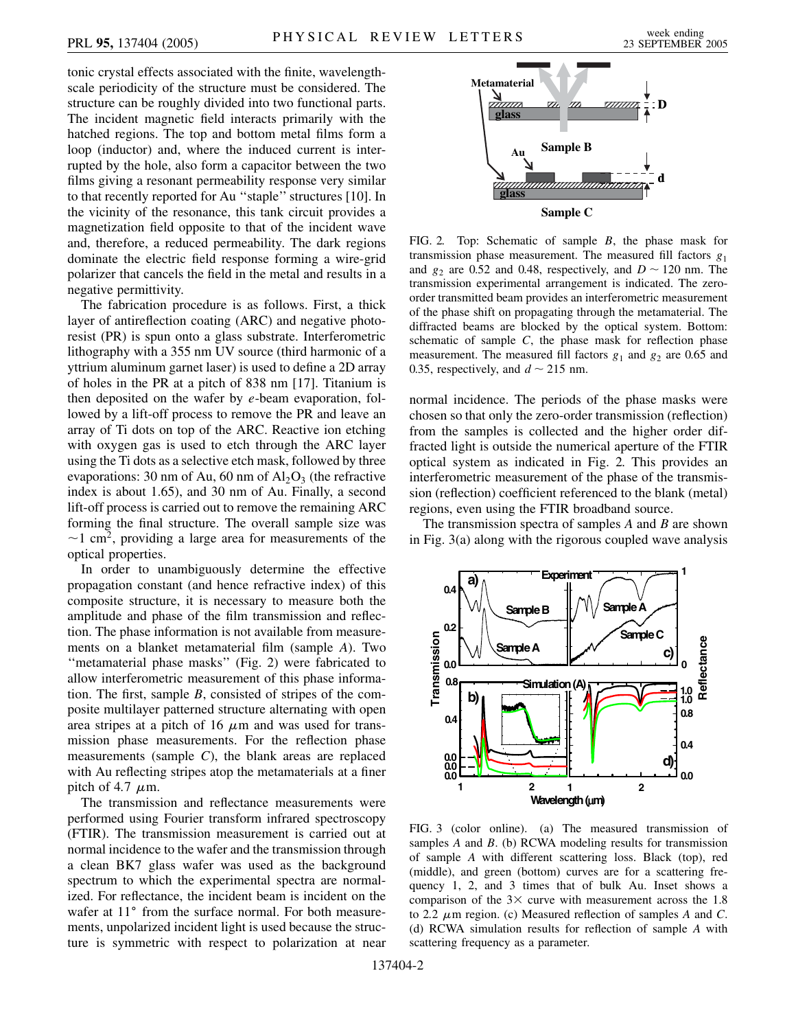tonic crystal effects associated with the finite, wavelengthscale periodicity of the structure must be considered. The structure can be roughly divided into two functional parts. The incident magnetic field interacts primarily with the hatched regions. The top and bottom metal films form a loop (inductor) and, where the induced current is interrupted by the hole, also form a capacitor between the two films giving a resonant permeability response very similar to that recently reported for Au ''staple'' structures [10]. In the vicinity of the resonance, this tank circuit provides a magnetization field opposite to that of the incident wave and, therefore, a reduced permeability. The dark regions dominate the electric field response forming a wire-grid polarizer that cancels the field in the metal and results in a negative permittivity.

The fabrication procedure is as follows. First, a thick layer of antireflection coating (ARC) and negative photoresist (PR) is spun onto a glass substrate. Interferometric lithography with a 355 nm UV source (third harmonic of a yttrium aluminum garnet laser) is used to define a 2D array of holes in the PR at a pitch of 838 nm [17]. Titanium is then deposited on the wafer by *e*-beam evaporation, followed by a lift-off process to remove the PR and leave an array of Ti dots on top of the ARC. Reactive ion etching with oxygen gas is used to etch through the ARC layer using the Ti dots as a selective etch mask, followed by three evaporations: 30 nm of Au, 60 nm of  $Al_2O_3$  (the refractive index is about 1.65), and 30 nm of Au. Finally, a second lift-off process is carried out to remove the remaining ARC forming the final structure. The overall sample size was  $\sim$ 1 cm<sup>2</sup>, providing a large area for measurements of the optical properties.

In order to unambiguously determine the effective propagation constant (and hence refractive index) of this composite structure, it is necessary to measure both the amplitude and phase of the film transmission and reflection. The phase information is not available from measurements on a blanket metamaterial film (sample *A*). Two ''metamaterial phase masks'' (Fig. 2) were fabricated to allow interferometric measurement of this phase information. The first, sample *B*, consisted of stripes of the composite multilayer patterned structure alternating with open area stripes at a pitch of 16  $\mu$ m and was used for transmission phase measurements. For the reflection phase measurements (sample *C*), the blank areas are replaced with Au reflecting stripes atop the metamaterials at a finer pitch of 4.7  $\mu$ m.

The transmission and reflectance measurements were performed using Fourier transform infrared spectroscopy (FTIR). The transmission measurement is carried out at normal incidence to the wafer and the transmission through a clean BK7 glass wafer was used as the background spectrum to which the experimental spectra are normalized. For reflectance, the incident beam is incident on the wafer at 11° from the surface normal. For both measurements, unpolarized incident light is used because the structure is symmetric with respect to polarization at near



FIG. 2. Top: Schematic of sample *B*, the phase mask for transmission phase measurement. The measured fill factors  $g_1$ and  $g_2$  are 0.52 and 0.48, respectively, and  $D \sim 120$  nm. The transmission experimental arrangement is indicated. The zeroorder transmitted beam provides an interferometric measurement of the phase shift on propagating through the metamaterial. The diffracted beams are blocked by the optical system. Bottom: schematic of sample *C*, the phase mask for reflection phase measurement. The measured fill factors  $g_1$  and  $g_2$  are 0.65 and 0.35, respectively, and  $d \sim 215$  nm.

normal incidence. The periods of the phase masks were chosen so that only the zero-order transmission (reflection) from the samples is collected and the higher order diffracted light is outside the numerical aperture of the FTIR optical system as indicated in Fig. 2. This provides an interferometric measurement of the phase of the transmission (reflection) coefficient referenced to the blank (metal) regions, even using the FTIR broadband source.

The transmission spectra of samples *A* and *B* are shown in Fig. 3(a) along with the rigorous coupled wave analysis



FIG. 3 (color online). (a) The measured transmission of samples *A* and *B*. (b) RCWA modeling results for transmission of sample *A* with different scattering loss. Black (top), red (middle), and green (bottom) curves are for a scattering frequency 1, 2, and 3 times that of bulk Au. Inset shows a comparison of the  $3 \times$  curve with measurement across the 1.8 to 2.2  $\mu$ m region. (c) Measured reflection of samples *A* and *C*. (d) RCWA simulation results for reflection of sample *A* with scattering frequency as a parameter.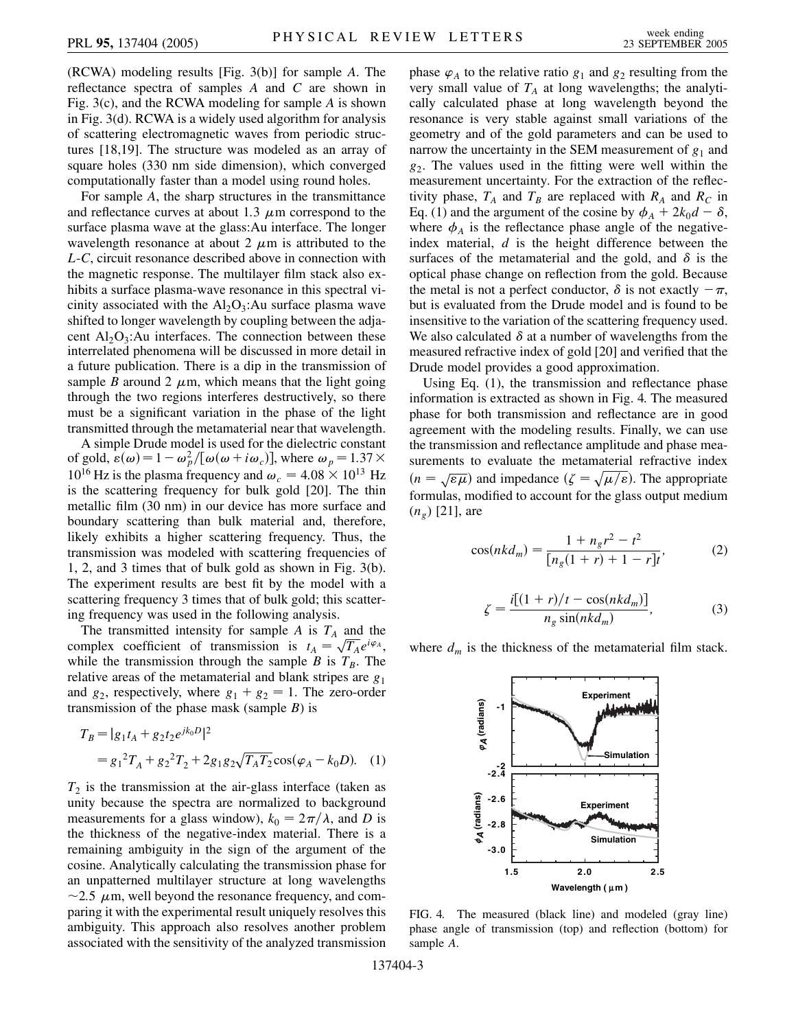(RCWA) modeling results [Fig. 3(b)] for sample *A*. The reflectance spectra of samples *A* and *C* are shown in Fig. 3(c), and the RCWA modeling for sample *A* is shown in Fig. 3(d). RCWA is a widely used algorithm for analysis of scattering electromagnetic waves from periodic structures [18,19]. The structure was modeled as an array of square holes (330 nm side dimension), which converged computationally faster than a model using round holes.

For sample *A*, the sharp structures in the transmittance and reflectance curves at about 1.3  $\mu$ m correspond to the surface plasma wave at the glass:Au interface. The longer wavelength resonance at about 2  $\mu$ m is attributed to the *L*-*C*, circuit resonance described above in connection with the magnetic response. The multilayer film stack also exhibits a surface plasma-wave resonance in this spectral vicinity associated with the  $Al_2O_3$ : Au surface plasma wave shifted to longer wavelength by coupling between the adjacent  $Al_2O_3$ : Au interfaces. The connection between these interrelated phenomena will be discussed in more detail in a future publication. There is a dip in the transmission of sample *B* around 2  $\mu$ m, which means that the light going through the two regions interferes destructively, so there must be a significant variation in the phase of the light transmitted through the metamaterial near that wavelength.

A simple Drude model is used for the dielectric constant of gold,  $\mathbf{\hat{e}}(\omega) = 1 - \omega_p^2 / [\omega(\omega + i\omega_c)]$ , where  $\omega_p = 1.37 \times$  $10^{16}$  Hz is the plasma frequency and  $\omega_c = 4.08 \times 10^{13}$  Hz is the scattering frequency for bulk gold [20]. The thin metallic film (30 nm) in our device has more surface and boundary scattering than bulk material and, therefore, likely exhibits a higher scattering frequency. Thus, the transmission was modeled with scattering frequencies of 1, 2, and 3 times that of bulk gold as shown in Fig. 3(b). The experiment results are best fit by the model with a scattering frequency 3 times that of bulk gold; this scattering frequency was used in the following analysis.

The transmitted intensity for sample  $A$  is  $T_A$  and the The transmitted intensity for sample *A* is  $I_A$  and the complex coefficient of transmission is  $t_A = \sqrt{T_A}e^{i\varphi_A}$ , while the transmission through the sample *B* is  $T_B$ . The relative areas of the metamaterial and blank stripes are *g*<sup>1</sup> and  $g_2$ , respectively, where  $g_1 + g_2 = 1$ . The zero-order transmission of the phase mask (sample *B*) is

$$
T_B = |g_1 t_A + g_2 t_2 e^{jk_0 D}|^2
$$
  
=  $g_1^2 T_A + g_2^2 T_2 + 2g_1 g_2 \sqrt{T_A T_2} \cos(\varphi_A - k_0 D).$  (1)

 $T_2$  is the transmission at the air-glass interface (taken as unity because the spectra are normalized to background measurements for a glass window),  $k_0 = 2\pi/\lambda$ , and *D* is the thickness of the negative-index material. There is a remaining ambiguity in the sign of the argument of the cosine. Analytically calculating the transmission phase for an unpatterned multilayer structure at long wavelengths  $\sim$ 2.5  $\mu$ m, well beyond the resonance frequency, and comparing it with the experimental result uniquely resolves this ambiguity. This approach also resolves another problem associated with the sensitivity of the analyzed transmission phase  $\varphi_A$  to the relative ratio  $g_1$  and  $g_2$  resulting from the very small value of  $T_A$  at long wavelengths; the analytically calculated phase at long wavelength beyond the resonance is very stable against small variations of the geometry and of the gold parameters and can be used to narrow the uncertainty in the SEM measurement of  $g_1$  and *g*2. The values used in the fitting were well within the measurement uncertainty. For the extraction of the reflectivity phase,  $T_A$  and  $T_B$  are replaced with  $R_A$  and  $R_C$  in Eq. (1) and the argument of the cosine by  $\phi_A + 2k_0d - \delta$ , where  $\phi_A$  is the reflectance phase angle of the negativeindex material, *d* is the height difference between the surfaces of the metamaterial and the gold, and  $\delta$  is the optical phase change on reflection from the gold. Because the metal is not a perfect conductor,  $\delta$  is not exactly  $-\pi$ , but is evaluated from the Drude model and is found to be insensitive to the variation of the scattering frequency used. We also calculated  $\delta$  at a number of wavelengths from the measured refractive index of gold [20] and verified that the Drude model provides a good approximation.

Using Eq. (1), the transmission and reflectance phase information is extracted as shown in Fig. 4. The measured phase for both transmission and reflectance are in good agreement with the modeling results. Finally, we can use the transmission and reflectance amplitude and phase measurements to evaluate the metamaterial refractive index  $(n = \sqrt{\varepsilon \mu})$  and impedance  $(\zeta = \sqrt{\mu/\varepsilon})$ . The appropriate formulas, modified to account for the glass output medium (*ng*) [21], are

$$
\cos(nkd_m) = \frac{1 + n_g r^2 - t^2}{[n_g(1+r) + 1 - r]t'},
$$
 (2)

$$
\zeta = \frac{i[(1+r)/t - \cos(nkd_m)]}{n_g \sin(nkd_m)},
$$
\n(3)

where  $d_m$  is the thickness of the metamaterial film stack.



FIG. 4. The measured (black line) and modeled (gray line) phase angle of transmission (top) and reflection (bottom) for sample *A*.